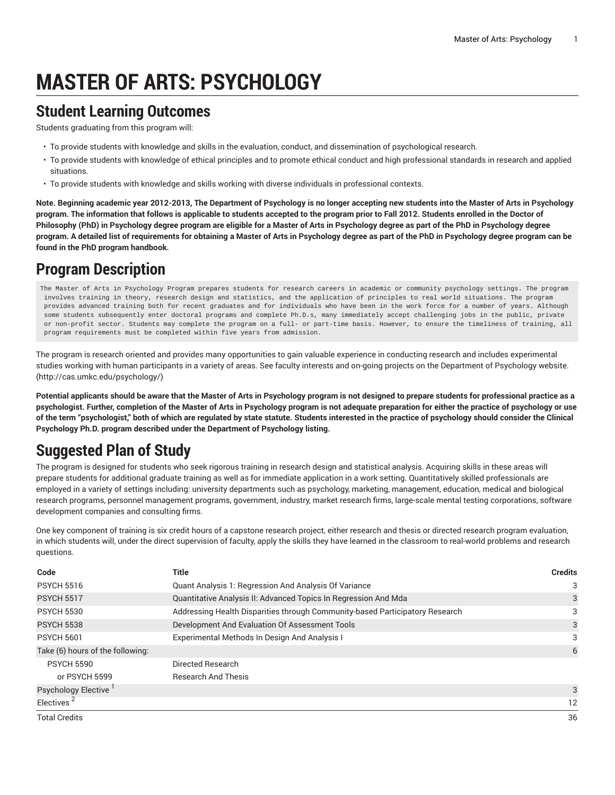# **MASTER OF ARTS: PSYCHOLOGY**

#### **Student Learning Outcomes**

Students graduating from this program will:

- To provide students with knowledge and skills in the evaluation, conduct, and dissemination of psychological research.
- To provide students with knowledge of ethical principles and to promote ethical conduct and high professional standards in research and applied situations.
- To provide students with knowledge and skills working with diverse individuals in professional contexts.

Note. Beginning academic year 2012-2013, The Department of Psychology is no longer accepting new students into the Master of Arts in Psychology program. The information that follows is applicable to students accepted to the program prior to Fall 2012. Students enrolled in the Doctor of Philosophy (PhD) in Psychology degree program are eligible for a Master of Arts in Psychology degree as part of the PhD in Psychology degree program. A detailed list of requirements for obtaining a Master of Arts in Psychology degree as part of the PhD in Psychology degree program can be **found in the PhD program handbook.**

### **Program Description**

The Master of Arts in Psychology Program prepares students for research careers in academic or community psychology settings. The program involves training in theory, research design and statistics, and the application of principles to real world situations. The program provides advanced training both for recent graduates and for individuals who have been in the work force for a number of years. Although some students subsequently enter doctoral programs and complete Ph.D.s, many immediately accept challenging jobs in the public, private or non-profit sector. Students may complete the program on a full- or part-time basis. However, to ensure the timeliness of training, all program requirements must be completed within five years from admission.

The program is research oriented and provides many opportunities to gain valuable experience in conducting research and includes experimental studies working with human participants in a variety of areas. See faculty interests and on-going projects on the [Department](http://cas.umkc.edu/psychology/) of Psychology website. ([http://cas.umkc.edu/psychology/\)](http://cas.umkc.edu/psychology/)

Potential applicants should be aware that the Master of Arts in Psychology program is not designed to prepare students for professional practice as a psychologist. Further, completion of the Master of Arts in Psychology program is not adequate preparation for either the practice of psychology or use of the term "psychologist," both of which are regulated by state statute. Students interested in the practice of psychology should consider the Clinical **Psychology Ph.D. program described under the Department of Psychology listing.**

## **Suggested Plan of Study**

The program is designed for students who seek rigorous training in research design and statistical analysis. Acquiring skills in these areas will prepare students for additional graduate training as well as for immediate application in a work setting. Quantitatively skilled professionals are employed in a variety of settings including: university departments such as psychology, marketing, management, education, medical and biological research programs, personnel management programs, government, industry, market research firms, large-scale mental testing corporations, software development companies and consulting firms.

One key component of training is six credit hours of a capstone research project, either research and thesis or directed research program evaluation, in which students will, under the direct supervision of faculty, apply the skills they have learned in the classroom to real-world problems and research questions.

| Code                             | Title                                                                        | <b>Credits</b> |
|----------------------------------|------------------------------------------------------------------------------|----------------|
| <b>PSYCH 5516</b>                | Quant Analysis 1: Regression And Analysis Of Variance                        | 3              |
| <b>PSYCH 5517</b>                | Quantitative Analysis II: Advanced Topics In Regression And Mda              | 3              |
| <b>PSYCH 5530</b>                | Addressing Health Disparities through Community-based Participatory Research | 3              |
| <b>PSYCH 5538</b>                | Development And Evaluation Of Assessment Tools                               | 3              |
| <b>PSYCH 5601</b>                | Experimental Methods In Design And Analysis I                                |                |
| Take (6) hours of the following: |                                                                              | 6              |
| <b>PSYCH 5590</b>                | Directed Research                                                            |                |
| or PSYCH 5599                    | <b>Research And Thesis</b>                                                   |                |
| Psychology Elective              |                                                                              | 3              |
| Electives <sup>2</sup>           |                                                                              | 12             |
| <b>Total Credits</b>             |                                                                              | 36             |